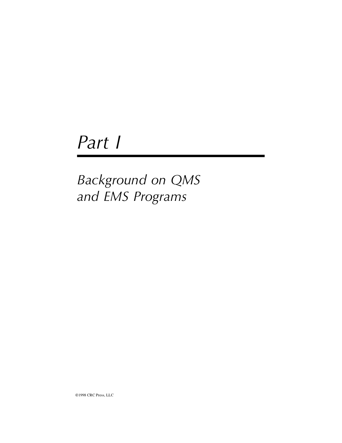# *Part I*

## *Background on QMS and EMS Programs*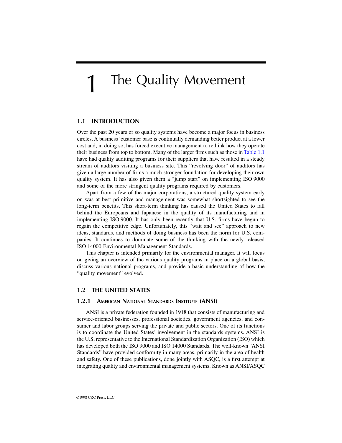### 1 The Quality Movement

#### **1.1 INTRODUCTION**

Over the past 20 years or so quality systems have become a major focus in business circles. A business' customer base is continually demanding better product at a lower cost and, in doing so, has forced executive management to rethink how they operate their business from top to bottom. Many of the larger firms such as those in [Table 1.1](#page-2-0) have had quality auditing programs for their suppliers that have resulted in a steady stream of auditors visiting a business site. This "revolving door" of auditors has given a large number of firms a much stronger foundation for developing their own quality system. It has also given them a "jump start" on implementing ISO 9000 and some of the more stringent quality programs required by customers.

Apart from a few of the major corporations, a structured quality system early on was at best primitive and management was somewhat shortsighted to see the long-term benefits. This short-term thinking has caused the United States to fall behind the Europeans and Japanese in the quality of its manufacturing and in implementing ISO 9000. It has only been recently that U.S. firms have begun to regain the competitive edge. Unfortunately, this "wait and see" approach to new ideas, standards, and methods of doing business has been the norm for U.S. companies. It continues to dominate some of the thinking with the newly released ISO 14000 Environmental Management Standards.

This chapter is intended primarily for the environmental manager. It will focus on giving an overview of the various quality programs in place on a global basis, discuss various national programs, and provide a basic understanding of how the "quality movement" evolved.

#### **1.2 THE UNITED STATES**

#### **1.2.1 AMERICAN NATIONAL STANDARDS INSTITUTE (ANSI)**

ANSI is a private federation founded in 1918 that consists of manufacturing and service-oriented businesses, professional societies, government agencies, and consumer and labor groups serving the private and public sectors. One of its functions is to coordinate the United States' involvement in the standards systems. ANSI is the U.S. representative to the International Standardization Organization (ISO) which has developed both the ISO 9000 and ISO 14000 Standards. The well-known "ANSI Standards" have provided conformity in many areas, primarily in the area of health and safety. One of these publications, done jointly with ASQC, is a first attempt at integrating quality and environmental management systems. Known as ANSI/ASQC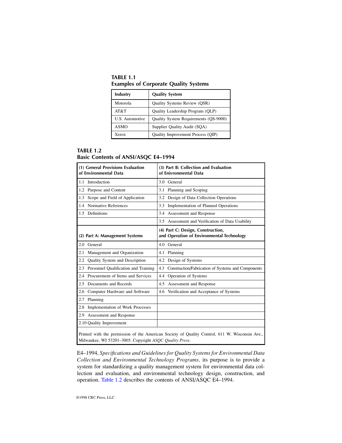<span id="page-2-0"></span>

| TABLE 1.1                                    |  |  |
|----------------------------------------------|--|--|
| <b>Examples of Corporate Quality Systems</b> |  |  |

| <b>Industry</b> | <b>Quality System</b>                 |
|-----------------|---------------------------------------|
| Motorola        | Quality Systems Review (QSR)          |
| AT&T            | Quality Leadership Program (QLP)      |
| U.S. Automotive | Quality System Requirements (QS-9000) |
| <b>ASMO</b>     | Supplier Quality Audit (SQA)          |
| Xerox           | Quality Improvement Process (QIP)     |

#### **TABLE 1.2 Basic Contents of ANSI/ASQC E4–1994**

| (1) General Provisions Evaluation<br>of Environmental Data | (3) Part B: Collection and Evaluation<br>of Enivronmental Data                 |  |
|------------------------------------------------------------|--------------------------------------------------------------------------------|--|
| 1.1 Introduction                                           | 3.0 General                                                                    |  |
| 1.2<br>Purpose and Content                                 | 3.1 Planning and Scoping                                                       |  |
| Scope and Field of Application<br>1.3                      | Design of Data Collection Operations<br>3.2                                    |  |
| 1.4 Normative References                                   | <b>Implementation of Planned Operations</b><br>3.3                             |  |
| 1.5 Definitions                                            | Assessment and Response<br>3.4                                                 |  |
|                                                            | 3.5 Assessment and Verification of Data Usability                              |  |
| (2) Part A: Management Systems                             | (4) Part C: Design, Construction,<br>and Operation of Environmental Technology |  |
| 2.0 General                                                | 4.0 General                                                                    |  |
| Management and Organization<br>2.1                         | 4.1 Planning                                                                   |  |
| $2.2\phantom{0}$<br>Quality System and Description         | Design of Systems<br>4.2                                                       |  |
| Personnel Qualification and Training<br>2.3                | Construction/Fabrication of Systems and Components<br>4.3                      |  |
| 2.4 Procurement of Items and Services                      | 4.4<br>Operation of Systems                                                    |  |
| Documents and Records<br>2.5                               | 4.5<br>Assessment and Response                                                 |  |
| Computer Hardware and Software<br>2.6                      | 4.6 Verification and Acceptance of Systems                                     |  |
| 2.7<br>Planning                                            |                                                                                |  |
| Implementation of Work Processes<br>2.8                    |                                                                                |  |
| 2.9<br>Assessment and Response                             |                                                                                |  |
| 2.10 Quality Improvement                                   |                                                                                |  |
|                                                            |                                                                                |  |

Printed with the permission of the American Society of Quality Control, 611 W. Wisconsin Ave., Milwaukee, WI 53201–3005. Copyright *ASQC Quality Press*.

E4–1994, *Specifications and Guidelines for Quality Systems for Environmental Data Collection and Environmental Technology Programs,* its purpose is to provide a system for standardizing a quality management system for environmental data collection and evaluation, and environmental technology design, construction, and operation. Table 1.2 describes the contents of ANSI/ASQC E4–1994.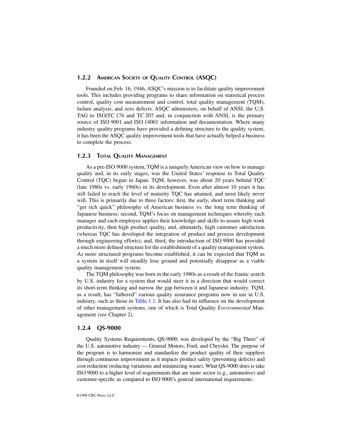#### **1.2.2 AMERICAN SOCIETY OF QUALITY CONTROL (ASQC)**

Founded on Feb. 16, 1946, ASQC's mission is to facilitate quality improvement tools. This includes providing programs to share information on statistical process control, quality cost measurement and control, total quality management (TQM), failure analysis, and zero defects. ASQC administers, on behalf of ANSI, the U.S. TAG to ISO/TC 176 and TC 207 and, in conjunction with ANSI, is the primary source of ISO 9001 and ISO 14001 information and documentation. Where many industry quality programs have provided a defining structure to the quality system, it has been the ASQC quality improvement tools that have actually helped a business to complete the process.

#### **1.2.3 TOTAL QUALITY MANAGEMENT**

As a pre-ISO 9000 system, TQM is a uniquely American view on how to manage quality and, in its early stages, was the United States' response to Total Quality Control (TQC) begun in Japan. TQM, however, was about 20 years behind TQC (late 1980s vs. early 1960s) in its development. Even after almost 10 years it has still failed to reach the level of maturity TQC has attained, and most likely never will. This is primarily due to three factors: first, the early, short term thinking and "get rich quick" philosophy of American business vs. the long term thinking of Japanese business; second, TQM's focus on management techniques whereby each manager and each employee applies their knowledge and skills to assure high work productivity, then high product quality, and, ultimately, high customer satisfaction (whereas TQC has developed the integration of product and process development through engineering efforts); and, third, the introduction of ISO 9000 has provided a much more defined structure for the establishment of a quality management system. As more structured programs become established, it can be expected that TQM as a system in itself will steadily lose ground and potentially disappear as a viable quality management system.

The TQM philosophy was born in the early 1980s as a result of the frantic search by U.S. industry for a system that would steer it in a direction that would correct its short-term thinking and narrow the gap between it and Japanese industry. TQM, as a result, has "fathered" various quality assurance programs now in use in U.S. industry, such as those in [Table 1.1.](#page-2-0) It has also had its influence on the development of other management systems, one of which is Total Quality *Environmental* Management (see Chapter 2).

#### **1.2.4 QS-9000**

Quality Systems Requirements, QS-9000, was developed by the "Big Three" of the U.S. automotive industry — General Motors, Ford, and Chrysler. The purpose of the program is to harmonize and standardize the product quality of their suppliers through continuous improvement as it impacts product safety (preventing defects) and cost reduction (reducing variations and minimizing waste). What QS-9000 does is take ISO 9000 to a higher level of requirements that are more sector (e.g., automotive) and customer-specific as compared to ISO 9000's general international requirements.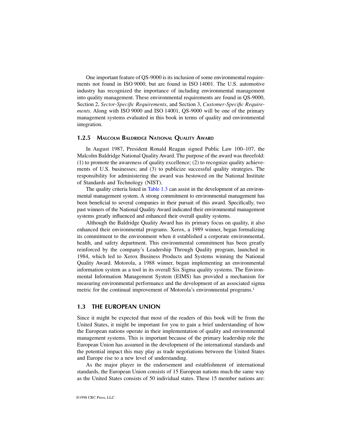One important feature of QS-9000 is its inclusion of some environmental requirements not found in ISO 9000, but are found in ISO 14001. The U.S. automotive industry has recognized the importance of including environmental management into quality management. These environmental requirements are found in QS-9000, Section 2, *Sector-Specific Requirements*, and Section 3, *Customer-Specific Requirements*. Along with ISO 9000 and ISO 14001, QS-9000 will be one of the primary management systems evaluated in this book in terms of quality and environmental integration.

#### **1.2.5 MALCOLM BALDRIDGE NATIONAL QUALITY AWARD**

In August 1987, President Ronald Reagan signed Public Law 100–107, the Malcolm Baldridge National QualityAward. The purpose of the award was threefold: (1) to promote the awareness of quality excellence; (2) to recognize quality achievements of U.S. businesses; and (3) to publicize successful quality strategies. The responsibility for administering the award was bestowed on the National Institute of Standards and Technology (NIST).

The quality criteria listed in [Table 1.3](#page-5-0) can assist in the development of an environmental management system. A strong commitment to environmental management has been beneficial to several companies in their pursuit of this award. Specifically, two past winners of the National Quality Award indicated their environmental management systems greatly influenced and enhanced their overall quality systems.

Although the Baldridge Quality Award has its primary focus on quality, it also enhanced their environmental programs. Xerox, a 1989 winner, began formalizing its commitment to the environment when it established a corporate environmental, health, and safety department. This environmental commitment has been greatly reinforced by the company's Leadership Through Quality program, launched in 1984, which led to Xerox Business Products and Systems winning the National Quality Award. Motorola, a 1988 winner, began implementing an environmental information system as a tool in its overall Six Sigma quality systems. The Environmental Information Management System (EIMS) has provided a mechanism for measuring environmental performance and the development of an associated sigma metric for the continual improvement of Motorola's environmental programs.<sup>1</sup>

#### **1.3 THE EUROPEAN UNION**

Since it might be expected that most of the readers of this book will be from the United States, it might be important for you to gain a brief understanding of how the European nations operate in their implementation of quality and environmental management systems. This is important because of the primary leadership role the European Union has assumed in the development of the international standards and the potential impact this may play as trade negotiations between the United States and Europe rise to a new level of understanding.

As the major player in the endorsement and establishment of international standards, the European Union consists of 15 European nations much the same way as the United States consists of 50 individual states. These 15 member nations are: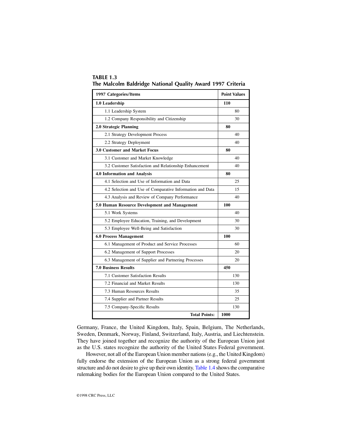| 1997 Categories/Items                                     | <b>Point Values</b> |
|-----------------------------------------------------------|---------------------|
| 1.0 Leadership                                            | 110                 |
| 1.1 Leadership System                                     | 80                  |
| 1.2 Company Responsibility and Citizenship                | 30                  |
| 2.0 Strategic Planning                                    | 80                  |
| 2.1 Strategy Development Process                          | 40                  |
| 2.2 Strategy Deployment                                   | 40                  |
| <b>3.0 Customer and Market Focus</b>                      | 80                  |
| 3.1 Customer and Market Knowledge                         | 40                  |
| 3.2 Customer Satisfaction and Relationship Enhancement    | 40                  |
| 4.0 Information and Analysis                              | 80                  |
| 4.1 Selection and Use of Information and Data             | 25                  |
| 4.2 Selection and Use of Comparative Information and Data | 15                  |
| 4.3 Analysis and Review of Company Performance            | 40                  |
| 5.0 Human Resource Development and Management             | 100                 |
| 5.1 Work Systems                                          | 40                  |
| 5.2 Employee Education, Training, and Development         | 30                  |
| 5.3 Employee Well-Being and Satisfaction                  | 30                  |
| <b>6.0 Process Management</b>                             | 100                 |
| 6.1 Management of Product and Service Processes           | 60                  |
| 6.2 Management of Support Processes                       | 20                  |
| 6.3 Management of Supplier and Partnering Processes       | 20                  |
| <b>7.0 Business Results</b>                               | 450                 |
| 7.1 Customer Satisfaction Results                         | 130                 |
| 7.2 Financial and Market Results                          | 130                 |
| 7.3 Human Resources Results                               | 35                  |
| 7.4 Supplier and Partner Results                          | 25                  |
| 7.5 Company-Specific Results                              | 130                 |
| <b>Total Points:</b>                                      | 1000                |

<span id="page-5-0"></span>**TABLE 1.3 The Malcolm Baldridge National Quality Award 1997 Criteria**

Germany, France, the United Kingdom, Italy, Spain, Belgium, The Netherlands, Sweden, Denmark, Norway, Finland, Switzerland, Italy, Austria, and Liechtenstein. They have joined together and recognize the authority of the European Union just as the U.S. states recognize the authority of the United States Federal government.

However, not all of the European Union member nations (e.g., the United Kingdom) fully endorse the extension of the European Union as a strong federal government structure and do not desire to give up their own identity. [Table](#page-6-0) 1.4 shows the comparative rulemaking bodies for the European Union compared to the United States.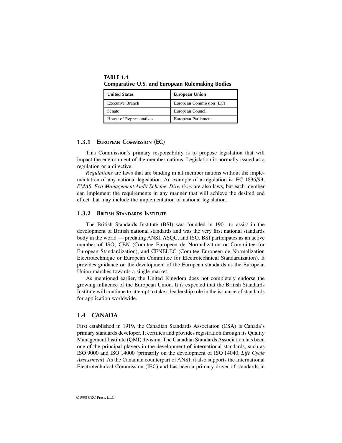| <b>United States</b>     | European Union           |
|--------------------------|--------------------------|
| <b>Executive Branch</b>  | European Commission (EC) |
| Senate                   | European Council         |
| House of Representatives | European Parliament      |

<span id="page-6-0"></span>**TABLE 1.4 Comparative U.S. and European Rulemaking Bodies**

#### **1.3.1 EUROPEAN COMMISSION (EC)**

This Commission's primary responsibility is to propose legislation that will impact the environment of the member nations. Legislation is normally issued as a regulation or a directive.

*Regulations* are laws that are binding in all member nations without the implementation of any national legislation. An example of a regulation is: EC 1836/93, *EMAS, Eco-Management Audit Scheme*. *Directives* are also laws, but each member can implement the requirements in any manner that will achieve the desired end effect that may include the implementation of national legislation.

#### **1.3.2 BRITISH STANDARDS INSTITUTE**

The British Standards Institute (BSI) was founded in 1901 to assist in the development of British national standards and was the very first national standards body in the world — predating ANSI, ASQC, and ISO. BSI participates as an active member of ISO, CEN (Comitee Europeen de Normalization or Committee for European Standardization), and CENELEC (Comitee Europeen de Normalization Electrotechnique or European Committee for Electrotechnical Standardization). It provides guidance on the development of the European standards as the European Union marches towards a single market.

As mentioned earlier, the United Kingdom does not completely endorse the growing influence of the European Union. It is expected that the British Standards Institute will continue to attempt to take a leadership role in the issuance of standards for application worldwide.

#### **1.4 CANADA**

First established in 1919, the Canadian Standards Association (CSA) is Canada's primary standards developer. It certifies and provides registration through its Quality Management Institute (QMI) division. The Canadian Standards Association has been one of the principal players in the development of international standards, such as ISO 9000 and ISO 14000 (primarily on the development of ISO 14040, *Life Cycle Assessment*). As the Canadian counterpart of ANSI, it also supports the International Electrotechnical Commission (IEC) and has been a primary driver of standards in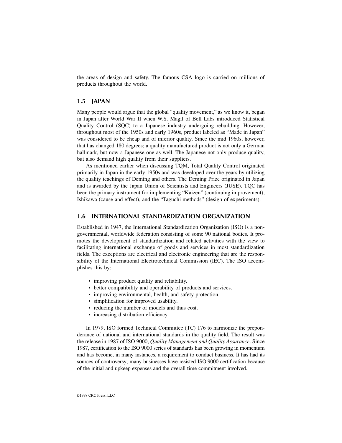the areas of design and safety. The famous CSA logo is carried on millions of products throughout the world.

#### **1.5 JAPAN**

Many people would argue that the global "quality movement," as we know it, began in Japan after World War II when W.S. Magil of Bell Labs introduced Statistical Quality Control (SQC) to a Japanese industry undergoing rebuilding. However, throughout most of the 1950s and early 1960s, product labeled as "Made in Japan" was considered to be cheap and of inferior quality. Since the mid 1960s, however, that has changed 180 degrees; a quality manufactured product is not only a German hallmark, but now a Japanese one as well. The Japanese not only produce quality, but also demand high quality from their suppliers.

As mentioned earlier when discussing TQM, Total Quality Control originated primarily in Japan in the early 1950s and was developed over the years by utilizing the quality teachings of Deming and others. The Deming Prize originated in Japan and is awarded by the Japan Union of Scientists and Engineers (JUSE). TQC has been the primary instrument for implementing "Kaizen" (continuing improvement), Ishikawa (cause and effect), and the "Taguchi methods" (design of experiments).

#### **1.6 INTERNATIONAL STANDARDIZATION ORGANIZATION**

Established in 1947, the International Standardization Organization (ISO) is a nongovernmental, worldwide federation consisting of some 90 national bodies. It promotes the development of standardization and related activities with the view to facilitating international exchange of goods and services in most standardization fields. The exceptions are electrical and electronic engineering that are the responsibility of the International Electrotechnical Commission (IEC). The ISO accomplishes this by:

- improving product quality and reliability.
- better compatibility and operability of products and services.
- improving environmental, health, and safety protection.
- simplification for improved usability.
- reducing the number of models and thus cost.
- increasing distribution efficiency.

In 1979, ISO formed Technical Committee (TC) 176 to harmonize the preponderance of national and international standards in the quality field. The result was the release in 1987 of ISO 9000, *Quality Management and Quality Assurance.* Since 1987, certification to the ISO 9000 series of standards has been growing in momentum and has become, in many instances, a requirement to conduct business. It has had its sources of controversy; many businesses have resisted ISO 9000 certification because of the initial and upkeep expenses and the overall time commitment involved.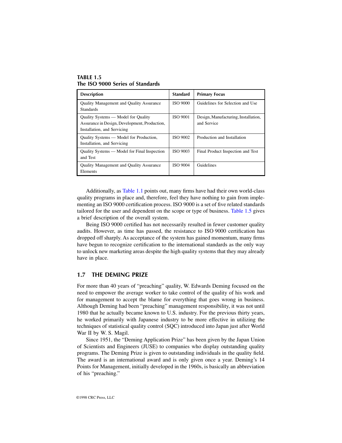**TABLE 1.5 The ISO 9000 Series of Standards**

| <b>Description</b>                                                                                                  | <b>Standard</b> | <b>Primary Focus</b>                                |
|---------------------------------------------------------------------------------------------------------------------|-----------------|-----------------------------------------------------|
| Quality Management and Quality Assurance<br><b>Standards</b>                                                        | <b>ISO 9000</b> | Guidelines for Selection and Use                    |
| Quality Systems — Model for Quality<br>Assurance in Design, Development, Production,<br>Installation, and Servicing | <b>ISO 9001</b> | Design, Manufacturing, Installation,<br>and Service |
| Quality Systems — Model for Production,<br>Installation, and Servicing                                              | <b>ISO 9002</b> | Production and Installation                         |
| Quality Systems — Model for Final Inspection<br>and Test                                                            | <b>ISO 9003</b> | Final Product Inspection and Test                   |
| Quality Management and Quality Assurance<br>Elements                                                                | <b>ISO 9004</b> | Guidelines                                          |

Additionally, as [Table](#page-2-0) 1.1 points out, many firms have had their own world-class quality programs in place and, therefore, feel they have nothing to gain from implementing an ISO 9000 certification process. ISO 9000 is a set of five related standards tailored for the user and dependent on the scope or type of business. Table 1.5 gives a brief description of the overall system.

Being ISO 9000 certified has not necessarily resulted in fewer customer quality audits. However, as time has passed, the resistance to ISO 9000 certification has dropped off sharply. As acceptance of the system has gained momentum, many firms have begun to recognize certification to the international standards as the only way to unlock new marketing areas despite the high quality systems that they may already have in place.

#### **1.7 THE DEMING PRIZE**

For more than 40 years of "preaching" quality, W. Edwards Deming focused on the need to empower the average worker to take control of the quality of his work and for management to accept the blame for everything that goes wrong in business. Although Deming had been "preaching" management responsibility, it was not until 1980 that he actually became known to U.S. industry. For the previous thirty years, he worked primarily with Japanese industry to be more effective in utilizing the techniques of statistical quality control (SQC) introduced into Japan just after World War II by W. S. Magil.

Since 1951, the "Deming Application Prize" has been given by the Japan Union of Scientists and Engineers (JUSE) to companies who display outstanding quality programs. The Deming Prize is given to outstanding individuals in the quality field. The award is an international award and is only given once a year. Deming's 14 Points for Management, initially developed in the 1960s, is basically an abbreviation of his "preaching."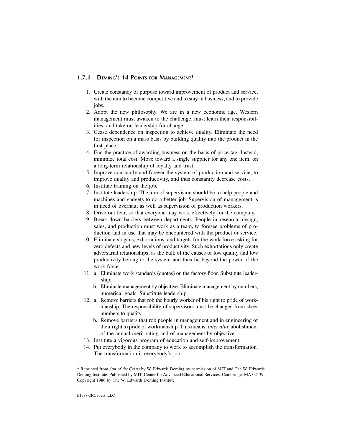#### **1.7.1 DEMING'S 14 POINTS FOR MANAGEMENT\***

- 1. Create constancy of purpose toward improvement of product and service, with the aim to become competitive and to stay in business, and to provide jobs.
- 2. Adopt the new philosophy. We are in a new economic age. Western management must awaken to the challenge, must learn their responsibilities, and take on leadership for change.
- 3. Cease dependence on inspection to achieve quality. Eliminate the need for inspection on a mass basis by building quality into the product in the first place.
- 4. End the practice of awarding business on the basis of price tag. Instead, minimize total cost. Move toward a single supplier for any one item, on a long-term relationship of loyalty and trust.
- 5. Improve constantly and forever the system of production and service, to improve quality and productivity, and thus constantly decrease costs.
- 6. Institute training on the job.
- 7. Institute leadership. The aim of supervision should be to help people and machines and gadgets to do a better job. Supervision of management is in need of overhaul as well as supervision of production workers.
- 8. Drive out fear, so that everyone may work effectively for the company.
- 9. Break down barriers between departments. People in research, design, sales, and production must work as a team, to foresee problems of production and in use that may be encountered with the product or service.
- 10. Eliminate slogans, exhortations, and targets for the work force asking for zero defects and new levels of productivity. Such exhortations only create adversarial relationships, as the bulk of the causes of low quality and low productivity belong to the system and thus lie beyond the power of the work force.
- 11. a. Eliminate work standards (quotas) on the factory floor. Substitute leadership.
	- b. Eliminate management by objective. Eliminate management by numbers, numerical goals. Substitute leadership.
- 12. a. Remove barriers that rob the hourly worker of his right to pride of workmanship. The responsibility of supervisors must be changed from sheer numbers to quality.
	- b. Remove barriers that rob people in management and in engineering of their right to pride of workmanship. This means, *inter alia*, abolishment of the annual merit rating and of management by objective.
- 13. Institute a vigorous program of education and self-improvement.
- 14. Put everybody in the company to work to accomplish the transformation. The transformation is everybody's job.

<sup>\*</sup> Reprinted from *Out of the Crisis* by W. Edwards Deming by permission of MIT and The W. Edwards Deming Institute. Published by MIT, Center for Advanced Educational Services, Cambridge, MA 02139. Copyright 1986 by The W. Edwards Deming Institute